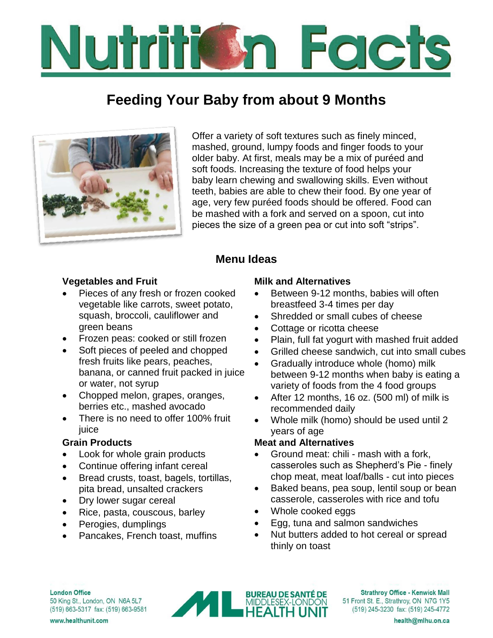# Numire Facts

# **Feeding Your Baby from about 9 Months**



Offer a variety of soft textures such as finely minced, mashed, ground, lumpy foods and finger foods to your older baby. At first, meals may be a mix of puréed and soft foods. Increasing the texture of food helps your baby learn chewing and swallowing skills. Even without teeth, babies are able to chew their food. By one year of age, very few puréed foods should be offered. Food can be mashed with a fork and served on a spoon, cut into pieces the size of a green pea or cut into soft "strips".

## **Menu Ideas**

### **Vegetables and Fruit**

- Pieces of any fresh or frozen cooked vegetable like carrots, sweet potato, squash, broccoli, cauliflower and green beans
- Frozen peas: cooked or still frozen
- Soft pieces of peeled and chopped fresh fruits like pears, peaches, banana, or canned fruit packed in juice or water, not syrup
- Chopped melon, grapes, oranges, berries etc., mashed avocado
- There is no need to offer 100% fruit juice

### **Grain Products**

- Look for whole grain products
- Continue offering infant cereal
- Bread crusts, toast, bagels, tortillas, pita bread, unsalted crackers
- Dry lower sugar cereal
- Rice, pasta, couscous, barley
- Perogies, dumplings
- Pancakes, French toast, muffins

#### **Milk and Alternatives**

- Between 9-12 months, babies will often breastfeed 3-4 times per day
- Shredded or small cubes of cheese
- Cottage or ricotta cheese
- Plain, full fat yogurt with mashed fruit added
- Grilled cheese sandwich, cut into small cubes
- Gradually introduce whole (homo) milk between 9-12 months when baby is eating a variety of foods from the 4 food groups
- After 12 months, 16 oz. (500 ml) of milk is recommended daily
- Whole milk (homo) should be used until 2 years of age

### **Meat and Alternatives**

- Ground meat: chili mash with a fork, casseroles such as Shepherd's Pie - finely chop meat, meat loaf/balls - cut into pieces
- Baked beans, pea soup, lentil soup or bean casserole, casseroles with rice and tofu
- Whole cooked eggs
- Egg, tuna and salmon sandwiches
- Nut butters added to hot cereal or spread thinly on toast